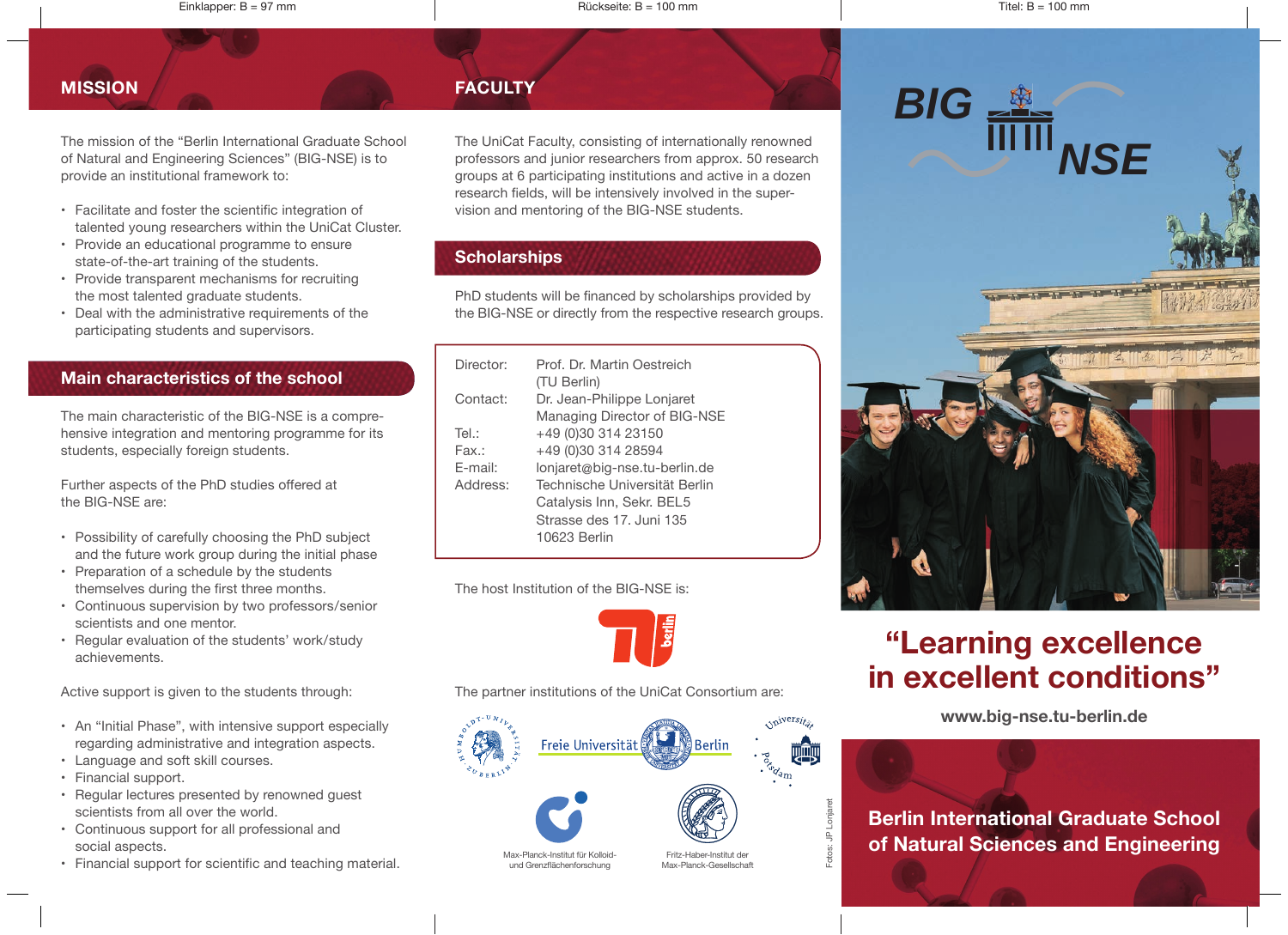Einklapper: B = 97 mm Rückseite: B = 100 mm Titel: B = 100 mm

The mission of the "Berlin International Graduate School of Natural and Engineering Sciences" (BIG-NSE) is to provide an institutional framework to:

- Facilitate and foster the scientific integration of talented young researchers within the UniCat Cluster.
- Provide an educational programme to ensure state-of-the-art training of the students.
- Provide transparent mechanisms for recruiting the most talented graduate students.
- Deal with the administrative requirements of the participating students and supervisors.

### **Main characteristics of the school**

The main characteristic of the BIG-NSE is a comprehensive integration and mentoring programme for its students, especially foreign students.

Further aspects of the PhD studies offered at the BIG-NSE are:

- Possibility of carefully choosing the PhD subject and the future work group during the initial phase
- Preparation of a schedule by the students themselves during the first three months.
- Continuous supervision by two professors / senior scientists and one mentor.
- Regular evaluation of the students' work / study achievements.

Active support is given to the students through:

- An "Initial Phase", with intensive support especially regarding administrative and integration aspects.
- Language and soft skill courses.
- Financial support.
- Regular lectures presented by renowned guest scientists from all over the world.
- Continuous support for all professional and social aspects.
- Financial support for scientific and teaching material.

The UniCat Faculty, consisting of internationally renowned professors and junior researchers from approx. 50 research groups at 6 participating institutions and active in a dozen research fields, will be intensively involved in the supervision and mentoring of the BIG-NSE students.

# **Scholarships**

PhD students will be financed by scholarships provided by the BIG-NSE or directly from the respective research groups.

| Director: | Prof. Dr. Martin Oestreich    |
|-----------|-------------------------------|
|           | (TU Berlin)                   |
| Contact:  | Dr. Jean-Philippe Lonjaret    |
|           | Managing Director of BIG-NSE  |
| Tel.:     | +49 (0)30 314 23150           |
| Fax.:     | +49 (0)30 314 28594           |
| F-mail:   | lonjaret@big-nse.tu-berlin.de |
| Address:  | Technische Universität Berlin |
|           | Catalysis Inn, Sekr. BEL5     |
|           | Strasse des 17. Juni 135      |
|           | 10623 Berlin                  |
|           |                               |

The host Institution of the BIG-NSE is:



The partner institutions of the UniCat Consortium are:





Max-Planck-Gesellschaft

Fotos: JP Lonjaret



# **"Learning excellence in excellent conditions"**

**www.big-nse.tu-berlin.de**

**Berlin International Graduate School of Natural Sciences and Engineering**